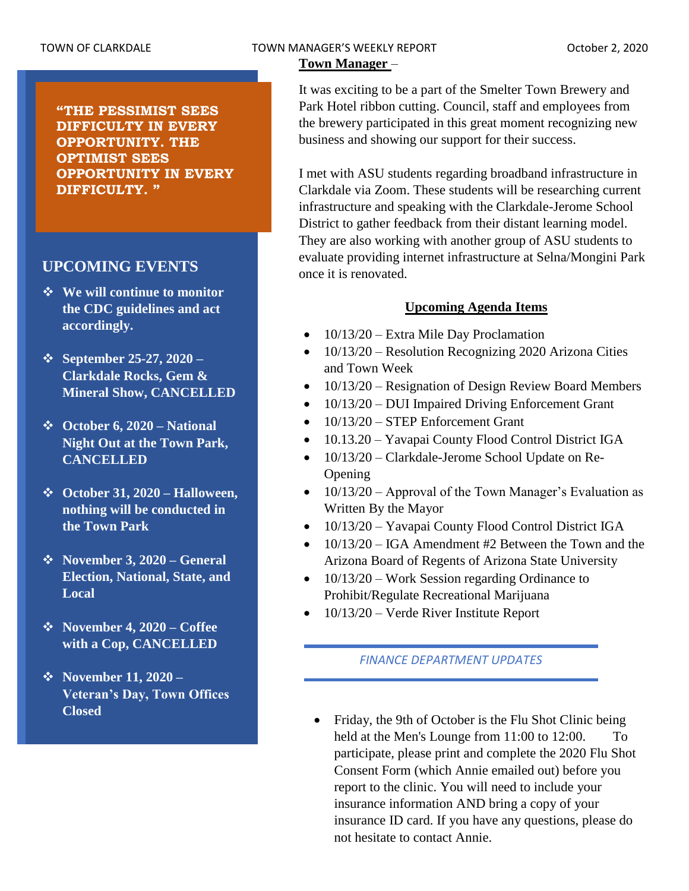## TOWN OF CLARKDALE TOWN MANAGER'S WEEKLY REPORT TOWN October 2, 2020

## **Town Manager** –

It was exciting to be a part of the Smelter Town Brewery and Park Hotel ribbon cutting. Council, staff and employees from the brewery participated in this great moment recognizing new business and showing our support for their success.

I met with ASU students regarding broadband infrastructure in Clarkdale via Zoom. These students will be researching current infrastructure and speaking with the Clarkdale-Jerome School District to gather feedback from their distant learning model. They are also working with another group of ASU students to evaluate providing internet infrastructure at Selna/Mongini Park once it is renovated.

# **Upcoming Agenda Items**

- $\bullet$  10/13/20 Extra Mile Day Proclamation
- 10/13/20 Resolution Recognizing 2020 Arizona Cities and Town Week
- 10/13/20 Resignation of Design Review Board Members
- 10/13/20 DUI Impaired Driving Enforcement Grant
- 10/13/20 STEP Enforcement Grant
- 10.13.20 Yavapai County Flood Control District IGA
- 10/13/20 Clarkdale-Jerome School Update on Re-Opening
- 10/13/20 Approval of the Town Manager's Evaluation as Written By the Mayor
- 10/13/20 Yavapai County Flood Control District IGA
- 10/13/20 IGA Amendment #2 Between the Town and the Arizona Board of Regents of Arizona State University
- 10/13/20 Work Session regarding Ordinance to Prohibit/Regulate Recreational Marijuana
- 10/13/20 Verde River Institute Report

# *FINANCE DEPARTMENT UPDATES*

• Friday, the 9th of October is the Flu Shot Clinic being held at the Men's Lounge from 11:00 to 12:00. To participate, please print and complete the 2020 Flu Shot Consent Form (which Annie emailed out) before you report to the clinic. You will need to include your insurance information AND bring a copy of your insurance ID card. If you have any questions, please do not hesitate to contact Annie.

**"THE PESSIMIST SEES DIFFICULTY IN EVERY OPPORTUNITY. THE OPTIMIST SEES OPPORTUNITY IN EVERY DIFFICULTY. "**

# **UPCOMING EVENTS**

- ❖ **We will continue to monitor the CDC guidelines and act accordingly.**
- ❖ **September 25-27, 2020 – Clarkdale Rocks, Gem & Mineral Show, CANCELLED**
- ❖ **October 6, 2020 – National Night Out at the Town Park, CANCELLED**
- ❖ **October 31, 2020 – Halloween, nothing will be conducted in the Town Park**
- ❖ **November 3, 2020 – General Election, National, State, and Local**
- ❖ **November 4, 2020 – Coffee with a Cop, CANCELLED**
- ❖ **November 11, 2020 – Veteran's Day, Town Offices Closed**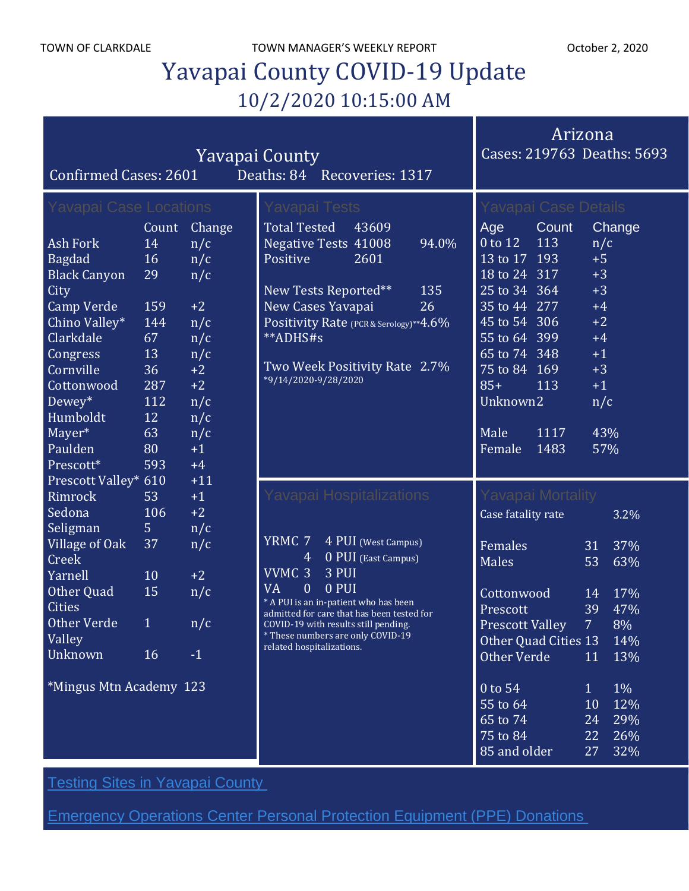TOWN OF CLARKDALE TOWN MANAGER'S WEEKLY REPORT TOWN OCTOber 2, 2020

# Yavapai County COVID-19 Update 10/2/2020 10:15:00 AM

| <b>Yavapai County</b><br>Deaths: 84 Recoveries: 1317<br><b>Confirmed Cases: 2601</b> |             |            |                                                                                     |                     |       | Arizona<br>Cases: 219763 Deaths: 5693 |              |                |       |
|--------------------------------------------------------------------------------------|-------------|------------|-------------------------------------------------------------------------------------|---------------------|-------|---------------------------------------|--------------|----------------|-------|
| <b>Yavapai Case Locations</b>                                                        |             |            | Yavapai Tests<br>43609                                                              |                     |       | Yavapai Case Details<br>Change        |              |                |       |
| <b>Ash Fork</b>                                                                      | Count<br>14 | Change     | <b>Total Tested</b>                                                                 |                     | 94.0% | Age<br>0 to 12                        | Count<br>113 |                |       |
|                                                                                      | 16          | n/c        | <b>Negative Tests 41008</b><br>Positive                                             | 2601                |       | 13 to 17 193                          |              | n/c<br>$+5$    |       |
| <b>Bagdad</b><br><b>Black Canyon</b>                                                 | 29          | n/c<br>n/c |                                                                                     |                     |       | 18 to 24 317                          |              | $+3$           |       |
| City                                                                                 |             |            | New Tests Reported**                                                                |                     | 135   | 25 to 34 364                          |              | $+3$           |       |
| <b>Camp Verde</b>                                                                    | 159         | $+2$       | New Cases Yavapai                                                                   |                     | 26    | 35 to 44 277                          |              | $+4$           |       |
| Chino Valley*                                                                        | 144         | n/c        | Positivity Rate (PCR & Serology)**4.6%                                              |                     |       | 45 to 54 306                          |              | $+2$           |       |
| Clarkdale                                                                            | 67          | n/c        | **ADHS#s                                                                            |                     |       | $\overline{55}$ to 64 399             |              | $+4$           |       |
| Congress                                                                             | 13          | n/c        |                                                                                     |                     |       | 65 to 74 348                          |              | $+1$           |       |
| Cornville                                                                            | 36          | $+2$       | Two Week Positivity Rate 2.7%                                                       |                     |       | 75 to 84 169                          |              | $+3$           |       |
| Cottonwood                                                                           | 287         | $+2$       | *9/14/2020-9/28/2020                                                                |                     |       | $85+$                                 | 113          | $+1$           |       |
| Dewey*                                                                               | 112         | n/c        |                                                                                     |                     |       | Unknown2                              |              | n/c            |       |
| Humboldt                                                                             | 12          | n/c        |                                                                                     |                     |       |                                       |              |                |       |
| Mayer*                                                                               | 63          | n/c        |                                                                                     |                     |       | Male                                  | 1117         | 43%            |       |
| Paulden                                                                              | 80          | $+1$       |                                                                                     |                     |       | Female                                | 1483         | 57%            |       |
| Prescott*                                                                            | 593         | $+4$       |                                                                                     |                     |       |                                       |              |                |       |
| Prescott Valley* 610                                                                 |             | $+11$      |                                                                                     |                     |       |                                       |              |                |       |
| Rimrock                                                                              | 53          | $+1$       | Yavapai Hospitalizations                                                            |                     |       | Yavapai Mortality                     |              |                |       |
| Sedona                                                                               | 106         | $+2$       |                                                                                     |                     |       | Case fatality rate                    |              |                | 3.2%  |
| Seligman                                                                             | 5           | n/c        |                                                                                     |                     |       |                                       |              |                |       |
| Village of Oak                                                                       | 37          | n/c        | YRMC 7                                                                              | 4 PUI (West Campus) |       | Females                               |              | 31             | 37%   |
| Creek                                                                                |             |            | 4                                                                                   | 0 PUI (East Campus) |       | Males                                 |              | 53             | 63%   |
| Yarnell                                                                              | 10          | $+2$       | $\overline{\text{VVMC}}$ 3<br>3 PUI                                                 |                     |       |                                       |              |                |       |
| Other Quad                                                                           | 15          | n/c        | <b>VA</b><br>$\mathbf{0}$<br>0 PUI                                                  |                     |       | Cottonwood                            |              | 14             | 17%   |
| <b>Cities</b>                                                                        |             |            | * A PUI is an in-patient who has been<br>admitted for care that has been tested for |                     |       | Prescott                              |              | 39             | 47%   |
| <b>Other Verde</b>                                                                   | 1           | n/c        | COVID-19 with results still pending.                                                |                     |       | <b>Prescott Valley</b>                |              | $\overline{7}$ | 8%    |
| Valley                                                                               |             |            | * These numbers are only COVID-19<br>related hospitalizations.                      |                     |       | Other Quad Cities 13                  |              |                | 14%   |
| <b>Unknown</b>                                                                       | 16          | $-1$       |                                                                                     |                     |       | Other Verde                           |              | 11             | 13%   |
|                                                                                      |             |            |                                                                                     |                     |       |                                       |              |                |       |
| *Mingus Mtn Academy 123                                                              |             |            |                                                                                     |                     |       | 0 to 54                               |              | $\mathbf{1}$   | $1\%$ |
|                                                                                      |             |            |                                                                                     |                     |       | 55 to 64                              |              | 10             | 12%   |
|                                                                                      |             |            |                                                                                     |                     |       | 65 to 74                              |              | 24             | 29%   |
|                                                                                      |             |            |                                                                                     |                     |       | 75 to 84                              |              | 22             | 26%   |
|                                                                                      |             |            |                                                                                     |                     |       | 85 and older                          |              | 27             | 32%   |

**Testing Sites in [Yavapai](https://www.yavapai.us/Portals/39/COVID-19/TestingSitesinYavapaiCounty.pdf) County** 

[Emergency](http://www.yavapai.us/Portals/39/PPE%20Donations.pdf) Operations Center Personal Protection Equipment (PPE) Donations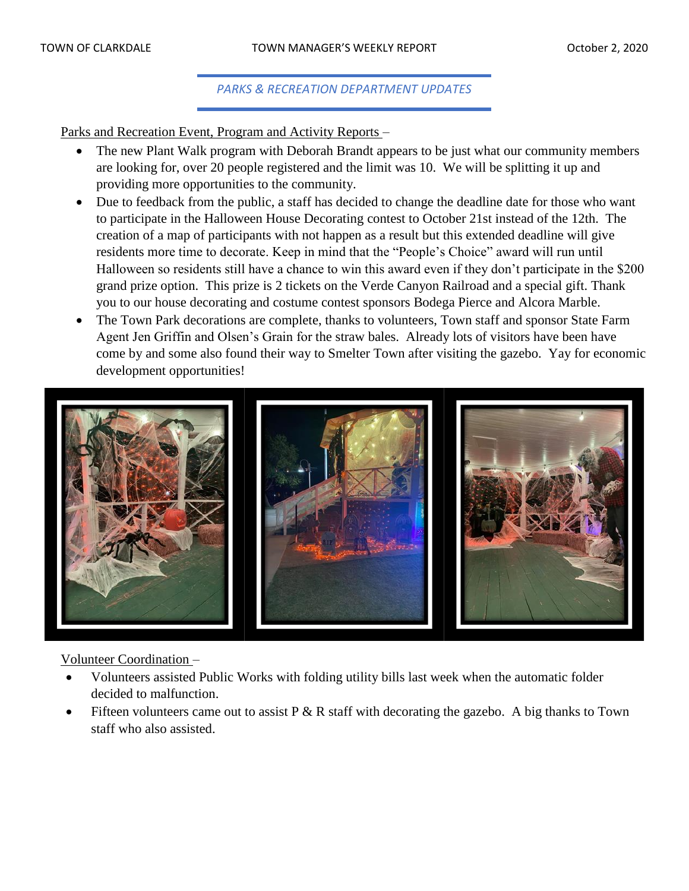# *PARKS & RECREATION DEPARTMENT UPDATES*

Parks and Recreation Event, Program and Activity Reports –

- The new Plant Walk program with Deborah Brandt appears to be just what our community members are looking for, over 20 people registered and the limit was 10. We will be splitting it up and providing more opportunities to the community.
- Due to feedback from the public, a staff has decided to change the deadline date for those who want to participate in the Halloween House Decorating contest to October 21st instead of the 12th. The creation of a map of participants with not happen as a result but this extended deadline will give residents more time to decorate. Keep in mind that the "People's Choice" award will run until Halloween so residents still have a chance to win this award even if they don't participate in the \$200 grand prize option. This prize is 2 tickets on the Verde Canyon Railroad and a special gift. Thank you to our house decorating and costume contest sponsors Bodega Pierce and Alcora Marble.
- The Town Park decorations are complete, thanks to volunteers, Town staff and sponsor State Farm Agent Jen Griffin and Olsen's Grain for the straw bales. Already lots of visitors have been have come by and some also found their way to Smelter Town after visiting the gazebo. Yay for economic development opportunities!



## Volunteer Coordination –

- Volunteers assisted Public Works with folding utility bills last week when the automatic folder decided to malfunction.
- Fifteen volunteers came out to assist  $P \& R$  staff with decorating the gazebo. A big thanks to Town staff who also assisted.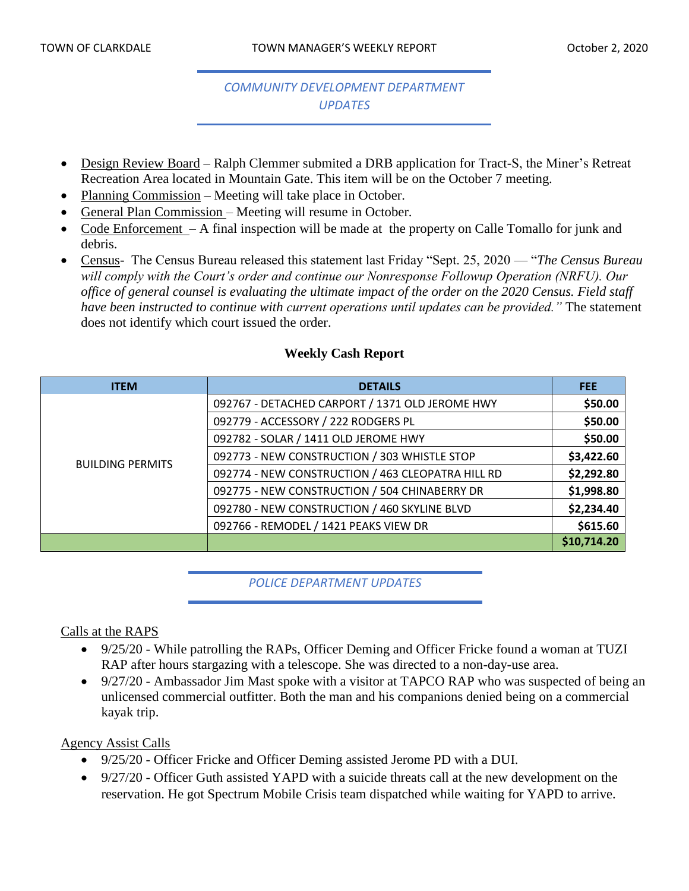# *COMMUNITY DEVELOPMENT DEPARTMENT UPDATES*

- Design Review Board Ralph Clemmer submited a DRB application for Tract-S, the Miner's Retreat Recreation Area located in Mountain Gate. This item will be on the October 7 meeting.
- Planning Commission Meeting will take place in October.
- General Plan Commission Meeting will resume in October.
- Code Enforcement A final inspection will be made at the property on Calle Tomallo for junk and debris.
- Census- The Census Bureau released this statement last Friday "Sept. 25, 2020 "*The Census Bureau will comply with the Court's order and continue our Nonresponse Followup Operation (NRFU). Our office of general counsel is evaluating the ultimate impact of the order on the 2020 Census. Field staff have been instructed to continue with current operations until updates can be provided."* The statement does not identify which court issued the order.

# **Weekly Cash Report**

| <b>ITEM</b>             | <b>DETAILS</b>                                    | <b>FEE</b>  |
|-------------------------|---------------------------------------------------|-------------|
|                         | 092767 - DETACHED CARPORT / 1371 OLD JEROME HWY   | \$50.00     |
|                         | 092779 - ACCESSORY / 222 RODGERS PL               | \$50.00     |
|                         | 092782 - SOLAR / 1411 OLD JEROME HWY              | \$50.00     |
| <b>BUILDING PERMITS</b> | 092773 - NEW CONSTRUCTION / 303 WHISTLE STOP      | \$3,422.60  |
|                         | 092774 - NEW CONSTRUCTION / 463 CLEOPATRA HILL RD | \$2,292.80  |
|                         | 092775 - NEW CONSTRUCTION / 504 CHINABERRY DR     | \$1,998.80  |
|                         | 092780 - NEW CONSTRUCTION / 460 SKYLINE BLVD      | \$2,234.40  |
|                         | 092766 - REMODEL / 1421 PEAKS VIEW DR             | \$615.60    |
|                         |                                                   | \$10,714.20 |

## *POLICE DEPARTMENT UPDATES*

## Calls at the RAPS

- 9/25/20 While patrolling the RAPs, Officer Deming and Officer Fricke found a woman at TUZI RAP after hours stargazing with a telescope. She was directed to a non-day-use area.
- 9/27/20 Ambassador Jim Mast spoke with a visitor at TAPCO RAP who was suspected of being an unlicensed commercial outfitter. Both the man and his companions denied being on a commercial kayak trip.

## Agency Assist Calls

- 9/25/20 Officer Fricke and Officer Deming assisted Jerome PD with a DUI.
- 9/27/20 Officer Guth assisted YAPD with a suicide threats call at the new development on the reservation. He got Spectrum Mobile Crisis team dispatched while waiting for YAPD to arrive.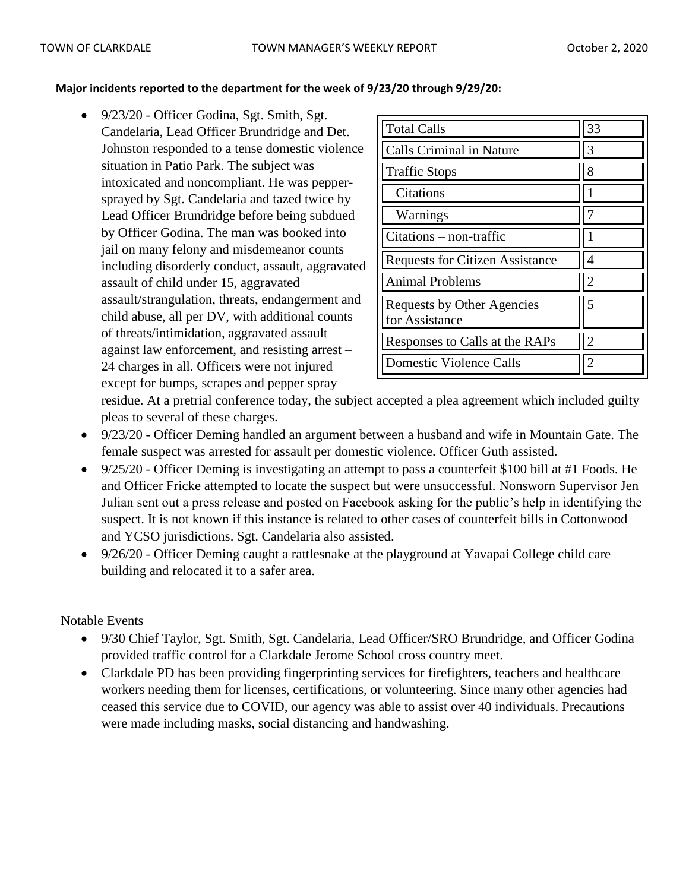#### **Major incidents reported to the department for the week of 9/23/20 through 9/29/20:**

• 9/23/20 - Officer Godina, Sgt. Smith, Sgt. Candelaria, Lead Officer Brundridge and Det. Johnston responded to a tense domestic violence situation in Patio Park. The subject was intoxicated and noncompliant. He was peppersprayed by Sgt. Candelaria and tazed twice by Lead Officer Brundridge before being subdued by Officer Godina. The man was booked into jail on many felony and misdemeanor counts including disorderly conduct, assault, aggravated assault of child under 15, aggravated assault/strangulation, threats, endangerment and child abuse, all per DV, with additional counts of threats/intimidation, aggravated assault against law enforcement, and resisting arrest – 24 charges in all. Officers were not injured except for bumps, scrapes and pepper spray

| <b>Total Calls</b>                           | 33             |
|----------------------------------------------|----------------|
| Calls Criminal in Nature                     | 3              |
| <b>Traffic Stops</b>                         | 8              |
| Citations                                    |                |
| Warnings                                     |                |
| $Citations - non-traffic$                    |                |
| <b>Requests for Citizen Assistance</b>       | 4              |
| <b>Animal Problems</b>                       | $\overline{2}$ |
| Requests by Other Agencies<br>for Assistance | 5              |
| Responses to Calls at the RAPs               | $\overline{2}$ |
| <b>Domestic Violence Calls</b>               |                |

residue. At a pretrial conference today, the subject accepted a plea agreement which included guilty pleas to several of these charges.

- 9/23/20 Officer Deming handled an argument between a husband and wife in Mountain Gate. The female suspect was arrested for assault per domestic violence. Officer Guth assisted.
- 9/25/20 Officer Deming is investigating an attempt to pass a counterfeit \$100 bill at #1 Foods. He and Officer Fricke attempted to locate the suspect but were unsuccessful. Nonsworn Supervisor Jen Julian sent out a press release and posted on Facebook asking for the public's help in identifying the suspect. It is not known if this instance is related to other cases of counterfeit bills in Cottonwood and YCSO jurisdictions. Sgt. Candelaria also assisted.
- 9/26/20 Officer Deming caught a rattlesnake at the playground at Yavapai College child care building and relocated it to a safer area.

# Notable Events

- 9/30 Chief Taylor, Sgt. Smith, Sgt. Candelaria, Lead Officer/SRO Brundridge, and Officer Godina provided traffic control for a Clarkdale Jerome School cross country meet.
- Clarkdale PD has been providing fingerprinting services for firefighters, teachers and healthcare workers needing them for licenses, certifications, or volunteering. Since many other agencies had ceased this service due to COVID, our agency was able to assist over 40 individuals. Precautions were made including masks, social distancing and handwashing.